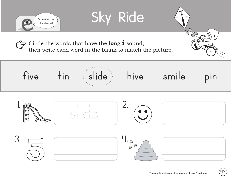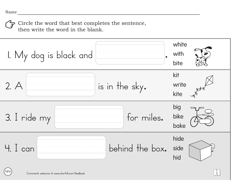**44**

Circle the word that best completes the sentence, then write the word in the blank.

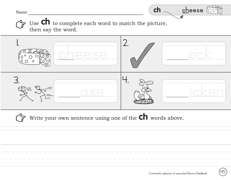Name



Use **Ch** to complete each word to match the picture,  $\overleftrightarrow{F}$ then say the word.



Write your own sentence using one of the  $\mathsf{ch}\xspace$  words above.

15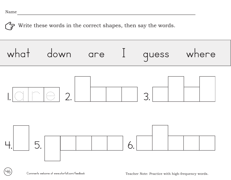**46**

Write these words in the correct shapes, then say the words. 



Comments welcome at www.starfall.com/feedback Teacher Note: Practice with high-frequency words.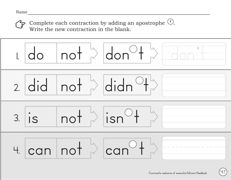Complete each contraction by adding an apostrophe  $\mathbb{C}$ . Write the new contraction in the blank. '



**47**